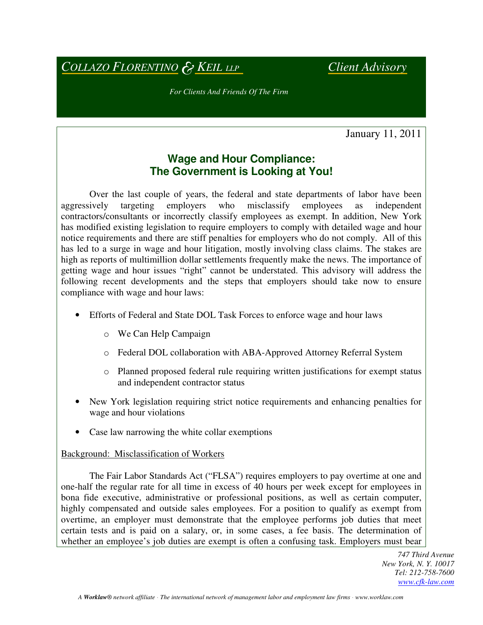# *COLLAZO FLORENTINO* & *KEIL LLP Client Advisory*

*For Clients And Friends Of The Firm* 

## January 11, 2011

# **Wage and Hour Compliance: The Government is Looking at You!**

Over the last couple of years, the federal and state departments of labor have been aggressively targeting employers who misclassify employees as independent contractors/consultants or incorrectly classify employees as exempt. In addition, New York has modified existing legislation to require employers to comply with detailed wage and hour notice requirements and there are stiff penalties for employers who do not comply. All of this has led to a surge in wage and hour litigation, mostly involving class claims. The stakes are high as reports of multimillion dollar settlements frequently make the news. The importance of getting wage and hour issues "right" cannot be understated. This advisory will address the following recent developments and the steps that employers should take now to ensure compliance with wage and hour laws:

- Efforts of Federal and State DOL Task Forces to enforce wage and hour laws
	- o We Can Help Campaign
	- o Federal DOL collaboration with ABA-Approved Attorney Referral System
	- o Planned proposed federal rule requiring written justifications for exempt status and independent contractor status
- New York legislation requiring strict notice requirements and enhancing penalties for wage and hour violations
- Case law narrowing the white collar exemptions

### Background: Misclassification of Workers

The Fair Labor Standards Act ("FLSA") requires employers to pay overtime at one and one-half the regular rate for all time in excess of 40 hours per week except for employees in bona fide executive, administrative or professional positions, as well as certain computer, highly compensated and outside sales employees. For a position to qualify as exempt from overtime, an employer must demonstrate that the employee performs job duties that meet certain tests and is paid on a salary, or, in some cases, a fee basis. The determination of whether an employee's job duties are exempt is often a confusing task. Employers must bear

> *747 Third Avenue New York, N. Y. 10017 Tel: 212-758-7600 www.cfk-law.com*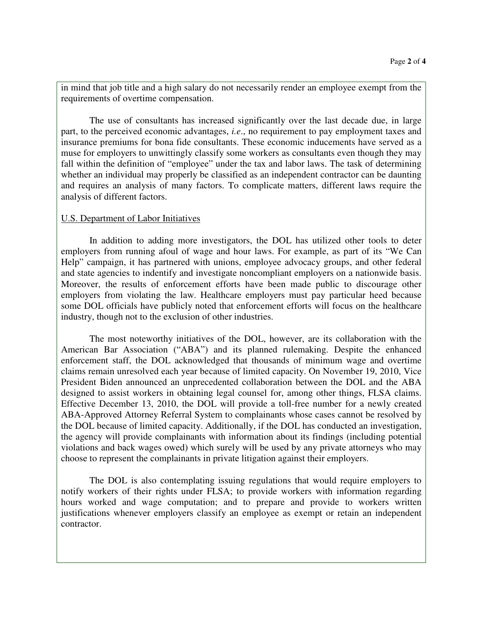in mind that job title and a high salary do not necessarily render an employee exempt from the requirements of overtime compensation.

The use of consultants has increased significantly over the last decade due, in large part, to the perceived economic advantages, *i.e*., no requirement to pay employment taxes and insurance premiums for bona fide consultants. These economic inducements have served as a muse for employers to unwittingly classify some workers as consultants even though they may fall within the definition of "employee" under the tax and labor laws. The task of determining whether an individual may properly be classified as an independent contractor can be daunting and requires an analysis of many factors. To complicate matters, different laws require the analysis of different factors.

#### U.S. Department of Labor Initiatives

In addition to adding more investigators, the DOL has utilized other tools to deter employers from running afoul of wage and hour laws. For example, as part of its "We Can Help" campaign, it has partnered with unions, employee advocacy groups, and other federal and state agencies to indentify and investigate noncompliant employers on a nationwide basis. Moreover, the results of enforcement efforts have been made public to discourage other employers from violating the law. Healthcare employers must pay particular heed because some DOL officials have publicly noted that enforcement efforts will focus on the healthcare industry, though not to the exclusion of other industries.

The most noteworthy initiatives of the DOL, however, are its collaboration with the American Bar Association ("ABA") and its planned rulemaking. Despite the enhanced enforcement staff, the DOL acknowledged that thousands of minimum wage and overtime claims remain unresolved each year because of limited capacity. On November 19, 2010, Vice President Biden announced an unprecedented collaboration between the DOL and the ABA designed to assist workers in obtaining legal counsel for, among other things, FLSA claims. Effective December 13, 2010, the DOL will provide a toll-free number for a newly created ABA-Approved Attorney Referral System to complainants whose cases cannot be resolved by the DOL because of limited capacity. Additionally, if the DOL has conducted an investigation, the agency will provide complainants with information about its findings (including potential violations and back wages owed) which surely will be used by any private attorneys who may choose to represent the complainants in private litigation against their employers.

 The DOL is also contemplating issuing regulations that would require employers to notify workers of their rights under FLSA; to provide workers with information regarding hours worked and wage computation; and to prepare and provide to workers written justifications whenever employers classify an employee as exempt or retain an independent contractor.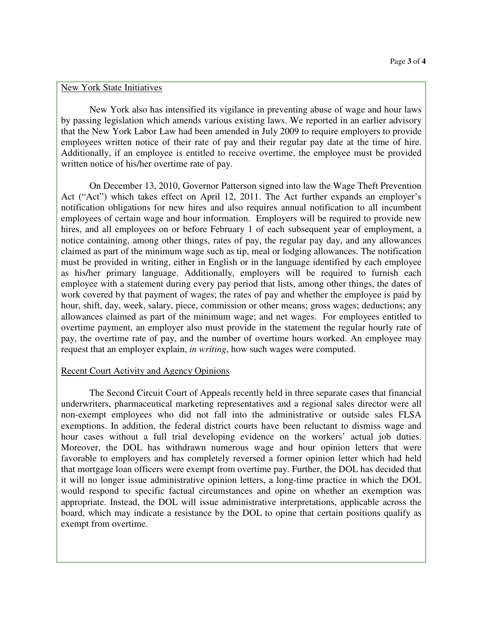#### New York State Initiatives

New York also has intensified its vigilance in preventing abuse of wage and hour laws by passing legislation which amends various existing laws. We reported in an earlier advisory that the New York Labor Law had been amended in July 2009 to require employers to provide employees written notice of their rate of pay and their regular pay date at the time of hire. Additionally, if an employee is entitled to receive overtime, the employee must be provided written notice of his/her overtime rate of pay.

On December 13, 2010, Governor Patterson signed into law the Wage Theft Prevention Act ("Act") which takes effect on April 12, 2011. The Act further expands an employer's notification obligations for new hires and also requires annual notification to all incumbent employees of certain wage and hour information. Employers will be required to provide new hires, and all employees on or before February 1 of each subsequent year of employment, a notice containing, among other things, rates of pay, the regular pay day, and any allowances claimed as part of the minimum wage such as tip, meal or lodging allowances. The notification must be provided in writing, either in English or in the language identified by each employee as his/her primary language. Additionally, employers will be required to furnish each employee with a statement during every pay period that lists, among other things, the dates of work covered by that payment of wages; the rates of pay and whether the employee is paid by hour, shift, day, week, salary, piece, commission or other means; gross wages; deductions; any allowances claimed as part of the minimum wage; and net wages. For employees entitled to overtime payment, an employer also must provide in the statement the regular hourly rate of pay, the overtime rate of pay, and the number of overtime hours worked. An employee may request that an employer explain, *in writing*, how such wages were computed.

#### Recent Court Activity and Agency Opinions

The Second Circuit Court of Appeals recently held in three separate cases that financial underwriters, pharmaceutical marketing representatives and a regional sales director were all non-exempt employees who did not fall into the administrative or outside sales FLSA exemptions. In addition, the federal district courts have been reluctant to dismiss wage and hour cases without a full trial developing evidence on the workers' actual job duties. Moreover, the DOL has withdrawn numerous wage and hour opinion letters that were favorable to employers and has completely reversed a former opinion letter which had held that mortgage loan officers were exempt from overtime pay. Further, the DOL has decided that it will no longer issue administrative opinion letters, a long-time practice in which the DOL would respond to specific factual circumstances and opine on whether an exemption was appropriate. Instead, the DOL will issue administrative interpretations, applicable across the board, which may indicate a resistance by the DOL to opine that certain positions qualify as exempt from overtime.